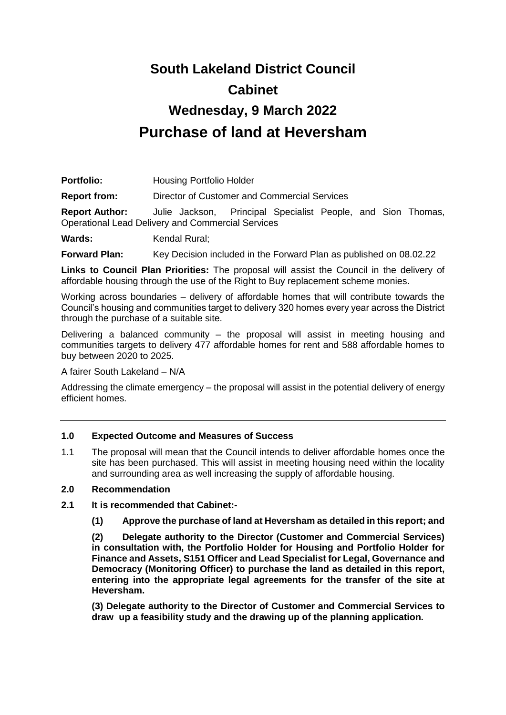# **South Lakeland District Council Cabinet Wednesday, 9 March 2022 Purchase of land at Heversham**

Portfolio: **Housing Portfolio Holder** 

**Report from:** Director of Customer and Commercial Services

**Report Author:** Julie Jackson, Principal Specialist People, and Sion Thomas, Operational Lead Delivery and Commercial Services

Wards: Kendal Rural:

**Forward Plan:** Key Decision included in the Forward Plan as published on 08.02.22

**Links to Council Plan Priorities:** The proposal will assist the Council in the delivery of affordable housing through the use of the Right to Buy replacement scheme monies.

Working across boundaries – delivery of affordable homes that will contribute towards the Council's housing and communities target to delivery 320 homes every year across the District through the purchase of a suitable site.

Delivering a balanced community – the proposal will assist in meeting housing and communities targets to delivery 477 affordable homes for rent and 588 affordable homes to buy between 2020 to 2025.

A fairer South Lakeland – N/A

Addressing the climate emergency – the proposal will assist in the potential delivery of energy efficient homes.

# **1.0 Expected Outcome and Measures of Success**

1.1 The proposal will mean that the Council intends to deliver affordable homes once the site has been purchased. This will assist in meeting housing need within the locality and surrounding area as well increasing the supply of affordable housing.

# **2.0 Recommendation**

- **2.1 It is recommended that Cabinet:-**
	- **(1) Approve the purchase of land at Heversham as detailed in this report; and**

**(2) Delegate authority to the Director (Customer and Commercial Services) in consultation with, the Portfolio Holder for Housing and Portfolio Holder for Finance and Assets, S151 Officer and Lead Specialist for Legal, Governance and Democracy (Monitoring Officer) to purchase the land as detailed in this report, entering into the appropriate legal agreements for the transfer of the site at Heversham.**

**(3) Delegate authority to the Director of Customer and Commercial Services to draw up a feasibility study and the drawing up of the planning application.**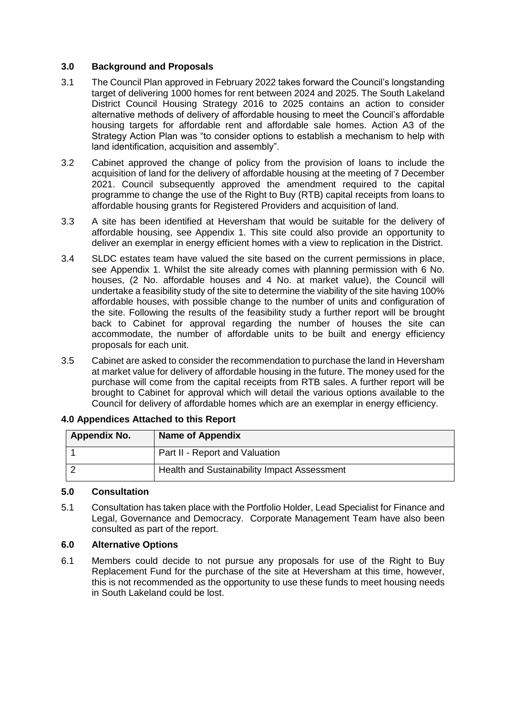# **3.0 Background and Proposals**

- 3.1 The Council Plan approved in February 2022 takes forward the Council's longstanding target of delivering 1000 homes for rent between 2024 and 2025. The South Lakeland District Council Housing Strategy 2016 to 2025 contains an action to consider alternative methods of delivery of affordable housing to meet the Council's affordable housing targets for affordable rent and affordable sale homes. Action A3 of the Strategy Action Plan was "to consider options to establish a mechanism to help with land identification, acquisition and assembly".
- 3.2 Cabinet approved the change of policy from the provision of loans to include the acquisition of land for the delivery of affordable housing at the meeting of 7 December 2021. Council subsequently approved the amendment required to the capital programme to change the use of the Right to Buy (RTB) capital receipts from loans to affordable housing grants for Registered Providers and acquisition of land.
- 3.3 A site has been identified at Heversham that would be suitable for the delivery of affordable housing, see Appendix 1. This site could also provide an opportunity to deliver an exemplar in energy efficient homes with a view to replication in the District.
- 3.4 SLDC estates team have valued the site based on the current permissions in place, see Appendix 1. Whilst the site already comes with planning permission with 6 No. houses, (2 No. affordable houses and 4 No. at market value), the Council will undertake a feasibility study of the site to determine the viability of the site having 100% affordable houses, with possible change to the number of units and configuration of the site. Following the results of the feasibility study a further report will be brought back to Cabinet for approval regarding the number of houses the site can accommodate, the number of affordable units to be built and energy efficiency proposals for each unit.
- 3.5 Cabinet are asked to consider the recommendation to purchase the land in Heversham at market value for delivery of affordable housing in the future. The money used for the purchase will come from the capital receipts from RTB sales. A further report will be brought to Cabinet for approval which will detail the various options available to the Council for delivery of affordable homes which are an exemplar in energy efficiency.

| <b>Appendix No.</b> | <b>Name of Appendix</b>                     |
|---------------------|---------------------------------------------|
|                     | Part II - Report and Valuation              |
|                     | Health and Sustainability Impact Assessment |

# **4.0 Appendices Attached to this Report**

# **5.0 Consultation**

5.1 Consultation has taken place with the Portfolio Holder, Lead Specialist for Finance and Legal, Governance and Democracy. Corporate Management Team have also been consulted as part of the report.

# **6.0 Alternative Options**

6.1 Members could decide to not pursue any proposals for use of the Right to Buy Replacement Fund for the purchase of the site at Heversham at this time, however, this is not recommended as the opportunity to use these funds to meet housing needs in South Lakeland could be lost.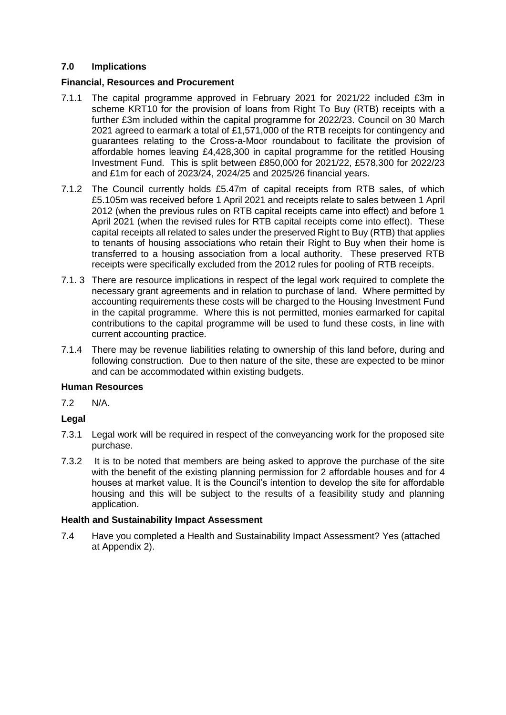# **7.0 Implications**

# **Financial, Resources and Procurement**

- 7.1.1 The capital programme approved in February 2021 for 2021/22 included £3m in scheme KRT10 for the provision of loans from Right To Buy (RTB) receipts with a further £3m included within the capital programme for 2022/23. Council on 30 March 2021 agreed to earmark a total of £1,571,000 of the RTB receipts for contingency and guarantees relating to the Cross-a-Moor roundabout to facilitate the provision of affordable homes leaving £4,428,300 in capital programme for the retitled Housing Investment Fund. This is split between £850,000 for 2021/22, £578,300 for 2022/23 and £1m for each of 2023/24, 2024/25 and 2025/26 financial years.
- 7.1.2 The Council currently holds £5.47m of capital receipts from RTB sales, of which £5.105m was received before 1 April 2021 and receipts relate to sales between 1 April 2012 (when the previous rules on RTB capital receipts came into effect) and before 1 April 2021 (when the revised rules for RTB capital receipts come into effect). These capital receipts all related to sales under the preserved Right to Buy (RTB) that applies to tenants of housing associations who retain their Right to Buy when their home is transferred to a housing association from a local authority. These preserved RTB receipts were specifically excluded from the 2012 rules for pooling of RTB receipts.
- 7.1. 3 There are resource implications in respect of the legal work required to complete the necessary grant agreements and in relation to purchase of land. Where permitted by accounting requirements these costs will be charged to the Housing Investment Fund in the capital programme. Where this is not permitted, monies earmarked for capital contributions to the capital programme will be used to fund these costs, in line with current accounting practice.
- 7.1.4 There may be revenue liabilities relating to ownership of this land before, during and following construction. Due to then nature of the site, these are expected to be minor and can be accommodated within existing budgets.

# **Human Resources**

7.2 N/A.

# **Legal**

- 7.3.1 Legal work will be required in respect of the conveyancing work for the proposed site purchase.
- 7.3.2 It is to be noted that members are being asked to approve the purchase of the site with the benefit of the existing planning permission for 2 affordable houses and for 4 houses at market value. It is the Council's intention to develop the site for affordable housing and this will be subject to the results of a feasibility study and planning application.

#### **Health and Sustainability Impact Assessment**

7.4 Have you completed a Health and Sustainability Impact Assessment? Yes (attached at Appendix 2).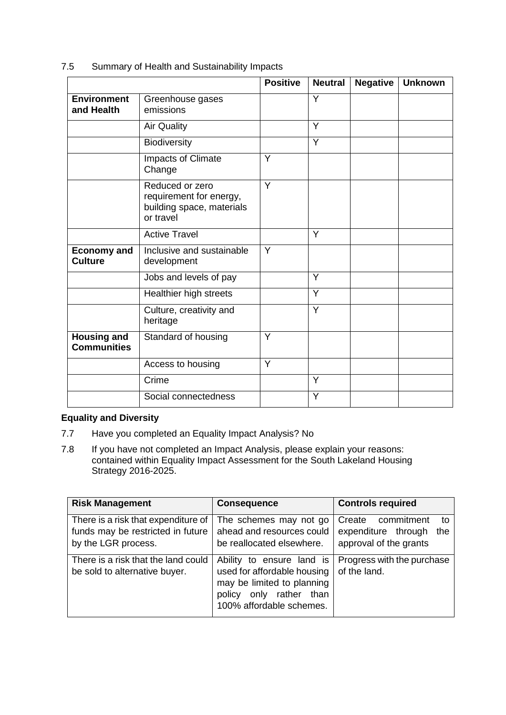# 7.5 Summary of Health and Sustainability Impacts

|                                          |                                                                                      | <b>Positive</b> | <b>Neutral</b> | <b>Negative</b> | <b>Unknown</b> |
|------------------------------------------|--------------------------------------------------------------------------------------|-----------------|----------------|-----------------|----------------|
| <b>Environment</b><br>and Health         | Greenhouse gases<br>emissions                                                        |                 | Y              |                 |                |
|                                          | <b>Air Quality</b>                                                                   |                 | Y              |                 |                |
|                                          | Biodiversity                                                                         |                 | Y              |                 |                |
|                                          | <b>Impacts of Climate</b><br>Change                                                  | Y               |                |                 |                |
|                                          | Reduced or zero<br>requirement for energy,<br>building space, materials<br>or travel | Y               |                |                 |                |
|                                          | <b>Active Travel</b>                                                                 |                 | Y              |                 |                |
| <b>Economy and</b><br><b>Culture</b>     | Inclusive and sustainable<br>development                                             | Y               |                |                 |                |
|                                          | Jobs and levels of pay                                                               |                 | Y              |                 |                |
|                                          | Healthier high streets                                                               |                 | Y              |                 |                |
|                                          | Culture, creativity and<br>heritage                                                  |                 | Y              |                 |                |
| <b>Housing and</b><br><b>Communities</b> | Standard of housing                                                                  | Y               |                |                 |                |
|                                          | Access to housing                                                                    | Y               |                |                 |                |
|                                          | Crime                                                                                |                 | Y              |                 |                |
|                                          | Social connectedness                                                                 |                 | Y              |                 |                |

# **Equality and Diversity**

- 7.7 Have you completed an Equality Impact Analysis? No
- 7.8 If you have not completed an Impact Analysis, please explain your reasons: contained within Equality Impact Assessment for the South Lakeland Housing Strategy 2016-2025.

| <b>Risk Management</b>                                                                          | <b>Consequence</b>                                                                                                                               | <b>Controls required</b>                                                           |
|-------------------------------------------------------------------------------------------------|--------------------------------------------------------------------------------------------------------------------------------------------------|------------------------------------------------------------------------------------|
| There is a risk that expenditure of<br>funds may be restricted in future<br>by the LGR process. | The schemes may not go<br>ahead and resources could<br>be reallocated elsewhere.                                                                 | Create<br>commitment<br>to<br>expenditure through<br>the<br>approval of the grants |
| There is a risk that the land could<br>be sold to alternative buyer.                            | Ability to ensure land is<br>used for affordable housing<br>may be limited to planning<br>only rather than<br>policy<br>100% affordable schemes. | Progress with the purchase<br>of the land.                                         |